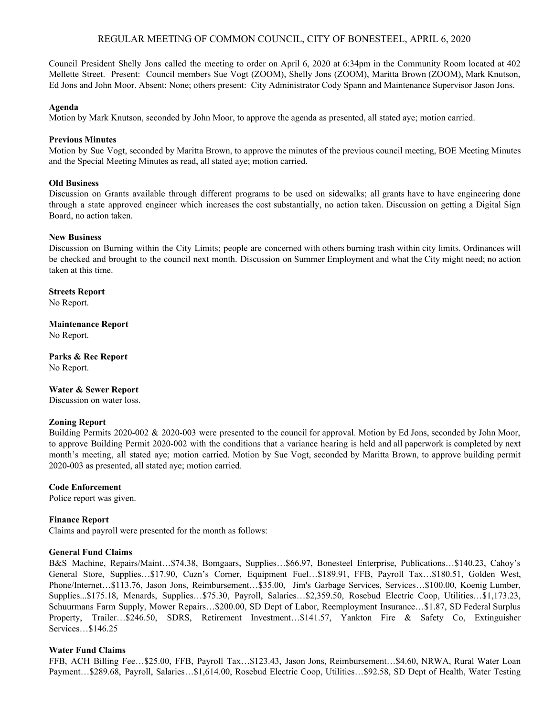# REGULAR MEETING OF COMMON COUNCIL, CITY OF BONESTEEL, APRIL 6, 2020

Council President Shelly Jons called the meeting to order on April 6, 2020 at 6:34pm in the Community Room located at 402 Mellette Street. Present: Council members Sue Vogt (ZOOM), Shelly Jons (ZOOM), Maritta Brown (ZOOM), Mark Knutson, Ed Jons and John Moor. Absent: None; others present: City Administrator Cody Spann and Maintenance Supervisor Jason Jons.

#### **Agenda**

Motion by Mark Knutson, seconded by John Moor, to approve the agenda as presented, all stated aye; motion carried.

## **Previous Minutes**

Motion by Sue Vogt, seconded by Maritta Brown, to approve the minutes of the previous council meeting, BOE Meeting Minutes and the Special Meeting Minutes as read, all stated aye; motion carried.

## **Old Business**

Discussion on Grants available through different programs to be used on sidewalks; all grants have to have engineering done through a state approved engineer which increases the cost substantially, no action taken. Discussion on getting a Digital Sign Board, no action taken.

## **New Business**

Discussion on Burning within the City Limits; people are concerned with others burning trash within city limits. Ordinances will be checked and brought to the council next month. Discussion on Summer Employment and what the City might need; no action taken at this time.

**Streets Report**

No Report.

**Maintenance Report**

No Report.

**Parks & Rec Report** No Report.

# **Water & Sewer Report**

Discussion on water loss.

## **Zoning Report**

Building Permits 2020-002 & 2020-003 were presented to the council for approval. Motion by Ed Jons, seconded by John Moor, to approve Building Permit 2020-002 with the conditions that a variance hearing is held and all paperwork is completed by next month's meeting, all stated aye; motion carried. Motion by Sue Vogt, seconded by Maritta Brown, to approve building permit 2020-003 as presented, all stated aye; motion carried.

#### **Code Enforcement**

Police report was given.

# **Finance Report**

Claims and payroll were presented for the month as follows:

## **General Fund Claims**

B&S Machine, Repairs/Maint…\$74.38, Bomgaars, Supplies…\$66.97, Bonesteel Enterprise, Publications…\$140.23, Cahoy's General Store, Supplies…\$17.90, Cuzn's Corner, Equipment Fuel…\$189.91, FFB, Payroll Tax…\$180.51, Golden West, Phone/Internet…\$113.76, Jason Jons, Reimbursement…\$35.00, Jim's Garbage Services, Services…\$100.00, Koenig Lumber, Supplies...\$175.18, Menards, Supplies…\$75.30, Payroll, Salaries…\$2,359.50, Rosebud Electric Coop, Utilities…\$1,173.23, Schuurmans Farm Supply, Mower Repairs…\$200.00, SD Dept of Labor, Reemployment Insurance…\$1.87, SD Federal Surplus Property, Trailer…\$246.50, SDRS, Retirement Investment…\$141.57, Yankton Fire & Safety Co, Extinguisher Services…\$146.25

# **Water Fund Claims**

FFB, ACH Billing Fee…\$25.00, FFB, Payroll Tax…\$123.43, Jason Jons, Reimbursement…\$4.60, NRWA, Rural Water Loan Payment…\$289.68, Payroll, Salaries…\$1,614.00, Rosebud Electric Coop, Utilities…\$92.58, SD Dept of Health, Water Testing